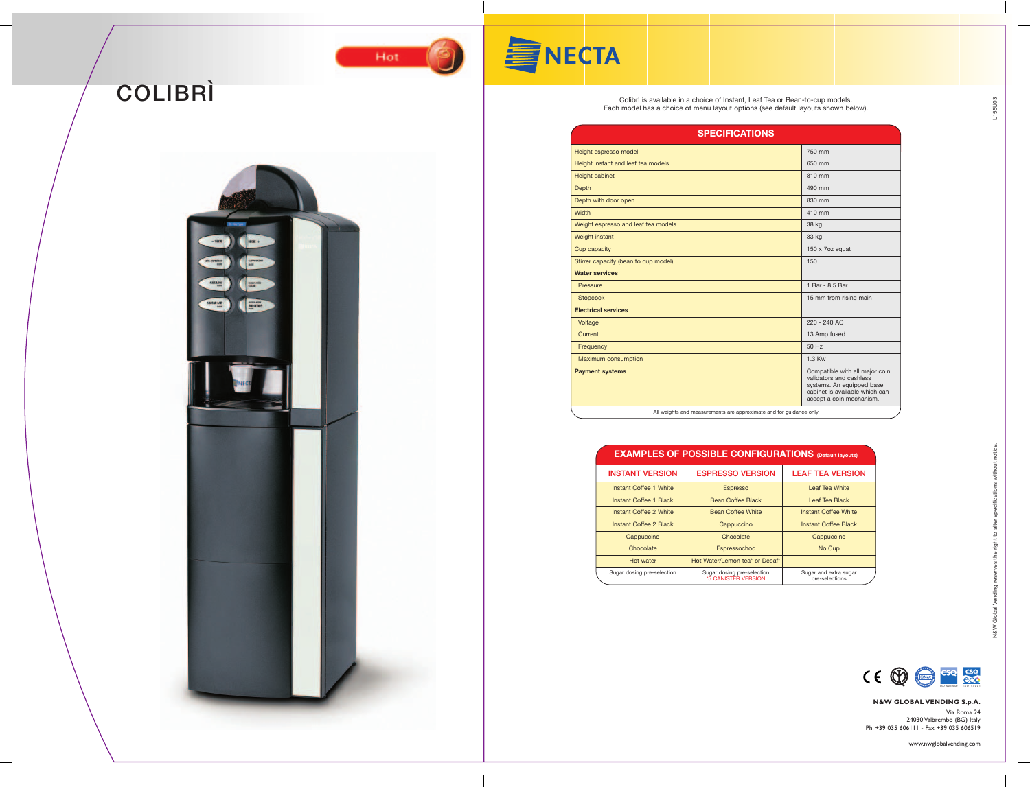L155U03

## **N&W GLOBAL VENDING S.p.A.** Via Roma 24

24030 Valbrembo (BG) Italy Ph. +39 035 606111 - Fax +39 035 606519

www.nwglobalvending.com







Hot



| <b>SPECIFICATIONS</b>                                              |                                                                                                                                                      |
|--------------------------------------------------------------------|------------------------------------------------------------------------------------------------------------------------------------------------------|
| Height espresso model                                              | 750 mm                                                                                                                                               |
| Height instant and leaf tea models                                 | 650 mm                                                                                                                                               |
| <b>Height cabinet</b>                                              | 810 mm                                                                                                                                               |
| Depth                                                              | 490 mm                                                                                                                                               |
| Depth with door open                                               | 830 mm                                                                                                                                               |
| Width                                                              | 410 mm                                                                                                                                               |
| Weight espresso and leaf tea models                                | 38 kg                                                                                                                                                |
| Weight instant                                                     | 33 kg                                                                                                                                                |
| Cup capacity                                                       | 150 x 7oz squat                                                                                                                                      |
| Stirrer capacity (bean to cup model)                               | 150                                                                                                                                                  |
| <b>Water services</b>                                              |                                                                                                                                                      |
| Pressure                                                           | 1 Bar - 8.5 Bar                                                                                                                                      |
| <b>Stopcock</b>                                                    | 15 mm from rising main                                                                                                                               |
| <b>Electrical services</b>                                         |                                                                                                                                                      |
| Voltage                                                            | $220 - 240$ AC                                                                                                                                       |
| Current                                                            | 13 Amp fused                                                                                                                                         |
| Frequency                                                          | 50 Hz                                                                                                                                                |
| <b>Maximum consumption</b>                                         | 1.3 Kw                                                                                                                                               |
| <b>Payment systems</b>                                             | Compatible with all major coin<br>validators and cashless<br>systems. An equipped base<br>cabinet is available which can<br>accept a coin mechanism. |
| All weights and measurements are approximate and for guidance only |                                                                                                                                                      |

Colibrì is available in a choice of Instant, Leaf Tea or Bean-to-cup models. Each model has a choice of menu layout options (see default layouts shown below).

| <b>EXAMPLES OF POSSIBLE CONFIGURATIONS (Default layouts)</b> |                                                   |                                         |
|--------------------------------------------------------------|---------------------------------------------------|-----------------------------------------|
| <b>INSTANT VERSION</b>                                       | <b>ESPRESSO VERSION</b>                           | <b>LEAF TEA VERSION</b>                 |
| Instant Coffee 1 White                                       | <b>Espresso</b>                                   | Leaf Tea White                          |
| Instant Coffee 1 Black                                       | Bean Coffee Black                                 | <b>Leaf Tea Black</b>                   |
| Instant Coffee 2 White                                       | <b>Bean Coffee White</b>                          | <b>Instant Coffee White</b>             |
| Instant Coffee 2 Black                                       | Cappuccino                                        | <b>Instant Coffee Black</b>             |
| Cappuccino                                                   | Chocolate                                         | Cappuccino                              |
| Chocolate                                                    | Espressochoc                                      | No Cup                                  |
| Hot water                                                    | Hot Water/Lemon tea* or Decaf*                    |                                         |
| Sugar dosing pre-selection                                   | Sugar dosing pre-selection<br>*5 CANISTER VERSION | Sugar and extra sugar<br>pre-selections |